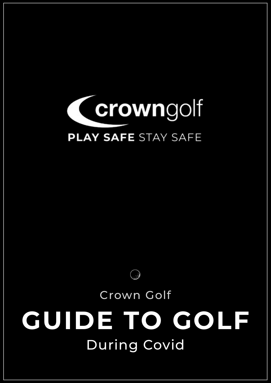

# During Covid **GUIDE TO GOLF** Crown Golf

G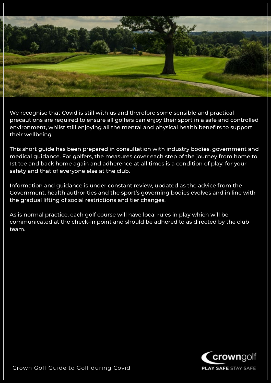

We recognise that Covid is still with us and therefore some sensible and practical precautions are required to ensure all golfers can enjoy their sport in a safe and controlled environment, whilst still enjoying all the mental and physical health benefits to support their wellbeing.

This short guide has been prepared in consultation with industry bodies, government and medical guidance. For golfers, the measures cover each step of the journey from home to 1st tee and back home again and adherence at all times is a condition of play, for your safety and that of everyone else at the club.

Information and guidance is under constant review, updated as the advice from the Government, health authorities and the sport's governing bodies evolves and in line with the gradual lifting of social restrictions and tier changes.

As is normal practice, each golf course will have local rules in play which will be communicated at the check-in point and should be adhered to as directed by the club team.

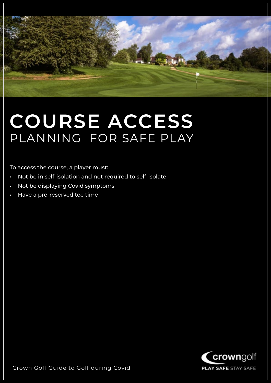

#### **COURSE ACCESS** PLANNING FOR SAFE PLAY

To access the course, a player must:

- Not be in self-isolation and not required to self-isolate
- Not be displaying Covid symptoms
- Have a pre-reserved tee time

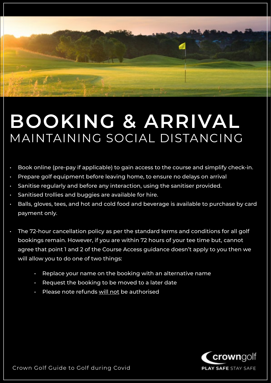## **BOOKING & ARRIVAL** MAINTAINING SOCIAL DISTANCING

- Book online (pre-pay if applicable) to gain access to the course and simplify check-in.
- Prepare golf equipment before leaving home, to ensure no delays on arrival
- Sanitise regularly and before any interaction, using the sanitiser provided.
- Sanitised trollies and buggies are available for hire.
- Balls, gloves, tees, and hot and cold food and beverage is available to purchase by card payment only.
- The 72-hour cancellation policy as per the standard terms and conditions for all golf bookings remain. However, if you are within 72 hours of your tee time but, cannot agree that point 1 and 2 of the Course Access guidance doesn't apply to you then we will allow you to do one of two things:
	- Replace your name on the booking with an alternative name
	- Request the booking to be moved to a later date
	- Please note refunds will not be authorised

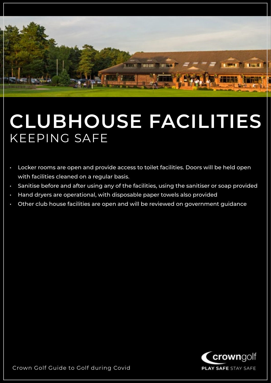

#### **CLUBHOUSE FACILITIES** KEEPING SAFE

- Locker rooms are open and provide access to toilet facilities. Doors will be held open with facilities cleaned on a regular basis.
- Sanitise before and after using any of the facilities, using the sanitiser or soap provided
- Hand dryers are operational, with disposable paper towels also provided
- Other club house facilities are open and will be reviewed on government guidance

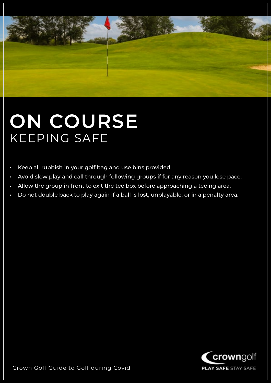

### **ON COURSE** KEEPING SAFE

- Keep all rubbish in your golf bag and use bins provided.
- Avoid slow play and call through following groups if for any reason you lose pace.
- Allow the group in front to exit the tee box before approaching a teeing area.
- Do not double back to play again if a ball is lost, unplayable, or in a penalty area.